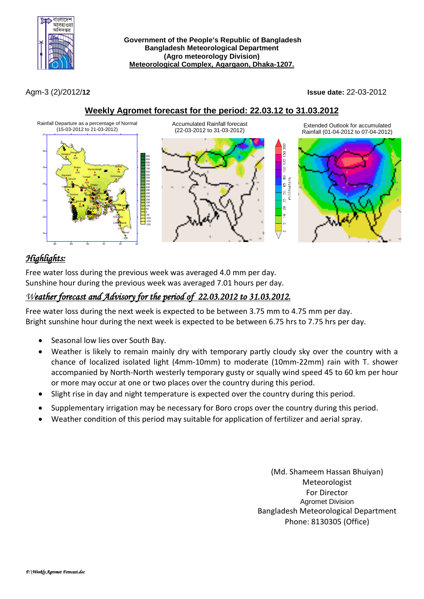

**Government of the People's Republic of Bangladesh Bangladesh Meteorological Department (Agro meteorology Division) Meteorological Complex, Agargaon, Dhaka-1207.**

Agm-3 (2)/2012/**12 Issue date:** 22-03-2012

### **Weekly Agromet forecast for the period: 22.03.12 to 31.03.2012**



# *Highlights:*

Free water loss during the previous week was averaged 4.0 mm per day. Sunshine hour during the previous week was averaged 7.01 hours per day.

## *Weather forecast and Advisory for the period of 22.03.2012 to 31.03.2012.*

Free water loss during the next week is expected to be between 3.75 mm to 4.75 mm per day. Bright sunshine hour during the next week is expected to be between 6.75 hrs to 7.75 hrs per day.

- Seasonal low lies over South Bay.
- Weather is likely to remain mainly dry with temporary partly cloudy sky over the country with a chance of localized isolated light (4mm-10mm) to moderate (10mm-22mm) rain with T. shower accompanied by North-North westerly temporary gusty or squally wind speed 45 to 60 km per hour or more may occur at one or two places over the country during this period.
- Slight rise in day and night temperature is expected over the country during this period.
- Supplementary irrigation may be necessary for Boro crops over the country during this period.
- Weather condition of this period may suitable for application of fertilizer and aerial spray.

(Md. Shameem Hassan Bhuiyan) Meteorologist For Director Agromet Division Bangladesh Meteorological Department Phone: 8130305 (Office)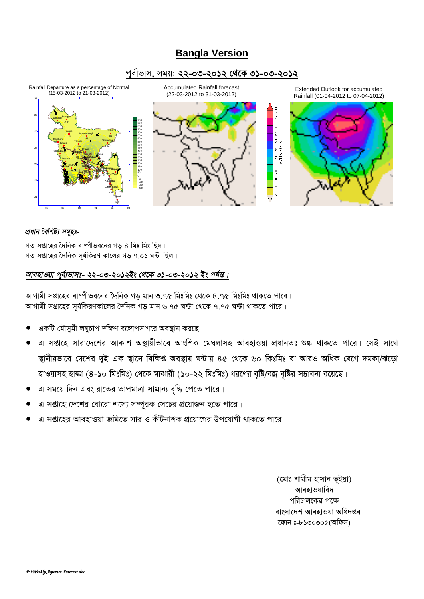# **Bangla Version**

### *c~e©vfvm, mgq: 22-03-2012 †\_‡K 31-03-2012*



#### *প্ৰধান বৈশিষ্ট্য সমৃহঃ-*

 $\frac{1}{2}$  সপ্তাহের দৈনিক বাম্পীভবনের গড় ৪ মিঃ মিঃ ছিল।  $\eta$ ত সপ্তাহের দৈনিক সূর্যকিরণ কালের গড় ৭.০**১** ঘন্টা ছিল।

### *আবহাওয়া পূৰ্বাভাসঃ- ২২-০৩-২০১২ইং থেকে ৩১-০৩-২০১২ ইং পৰ্যন্ত।*

স্পামী সপ্তাহের বাষ্পীভবনের দৈনিক গড মান ৩.৭৫ মিঃমিঃ থেকে ৪.৭৫ মিঃমিঃ থাকতে পারে। আগামী সপ্তাহের সূর্যকিরণকালের দৈনিক গড় মান ৬.৭৫ ঘন্টা থেকে ৭.৭৫ ঘন্টা থাকতে পারে।

- একটি মৌসুমী লঘুচাপ দক্ষিণ বঙ্গোপসাগরে অবস্থান করছে।
- এ সপ্তাহে সারাদেশের আকাশ অস্থায়ীভাবে আংশিক মেঘলাসহ আবহাওয়া প্রধানতঃ শুষ্ক থাকতে পারে। সেই সাথে *¯'vbxqfv‡e †`‡ki `yB GK ¯'v‡b wewÿß Ae¯'vq N›Uvq 45 †\_‡K 60 wKtwgt ev AviI AwaK †e‡M `gKv/S‡ov*  হাওয়াসহ হাল্কা (8-১০ মিঃমিঃ) থেকে মাঝারী (১০-২২ মিঃমিঃ) ধরণের বৃষ্টি/বজ্র বৃষ্টির সম্ভাবনা রয়েছে।
- *G mg‡q w`b Ges iv‡Zi ZvcgvÎv mvgvb¨ e"w× †c‡Z cv‡i|*
- $A$  সপ্তাহে দেশের বোরো শস্যে সম্পূরক সেচের প্রয়োজন হতে পারে।
- *G mßv‡ni AvenvIqv Rwg‡Z mvi I KxUbvkK cÖ‡qv‡Mi Dc‡hvMx \_vK‡Z cv‡i|*

*(*মোঃ শামীম হাসান ভূইয়া) **আবহাওয়াবিদ** পরিচালকের পক্ষে *বাংলাদেশ আবহাওয়া অধিদপ্তর ‡dvb t-8130305(Awdm)*